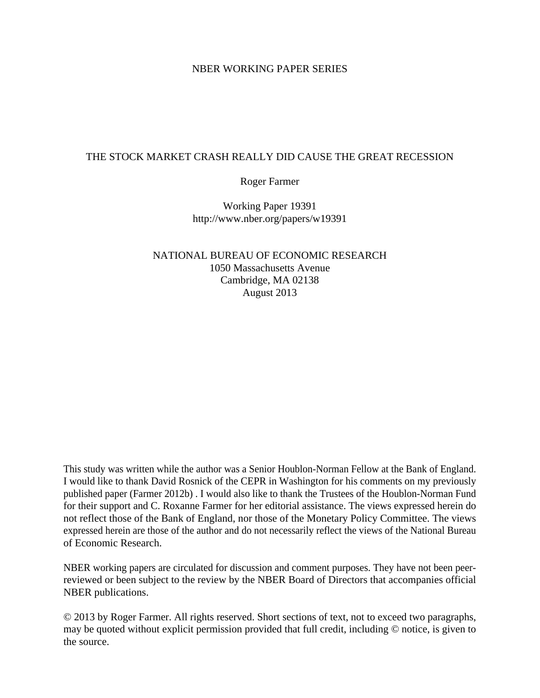# NBER WORKING PAPER SERIES

# THE STOCK MARKET CRASH REALLY DID CAUSE THE GREAT RECESSION

# Roger Farmer

Working Paper 19391 http://www.nber.org/papers/w19391

# NATIONAL BUREAU OF ECONOMIC RESEARCH 1050 Massachusetts Avenue Cambridge, MA 02138 August 2013

This study was written while the author was a Senior Houblon-Norman Fellow at the Bank of England. I would like to thank David Rosnick of the CEPR in Washington for his comments on my previously published paper (Farmer 2012b) . I would also like to thank the Trustees of the Houblon-Norman Fund for their support and C. Roxanne Farmer for her editorial assistance. The views expressed herein do not reflect those of the Bank of England, nor those of the Monetary Policy Committee. The views expressed herein are those of the author and do not necessarily reflect the views of the National Bureau of Economic Research.

NBER working papers are circulated for discussion and comment purposes. They have not been peerreviewed or been subject to the review by the NBER Board of Directors that accompanies official NBER publications.

© 2013 by Roger Farmer. All rights reserved. Short sections of text, not to exceed two paragraphs, may be quoted without explicit permission provided that full credit, including © notice, is given to the source.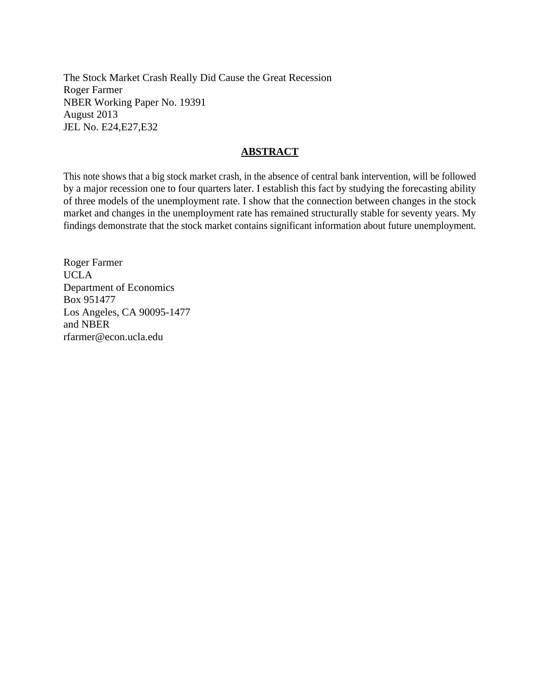The Stock Market Crash Really Did Cause the Great Recession Roger Farmer NBER Working Paper No. 19391 August 2013 JEL No. E24,E27,E32

# **ABSTRACT**

This note shows that a big stock market crash, in the absence of central bank intervention, will be followed by a major recession one to four quarters later. I establish this fact by studying the forecasting ability of three models of the unemployment rate. I show that the connection between changes in the stock market and changes in the unemployment rate has remained structurally stable for seventy years. My findings demonstrate that the stock market contains significant information about future unemployment.

Roger Farmer UCLA Department of Economics Box 951477 Los Angeles, CA 90095-1477 and NBER rfarmer@econ.ucla.edu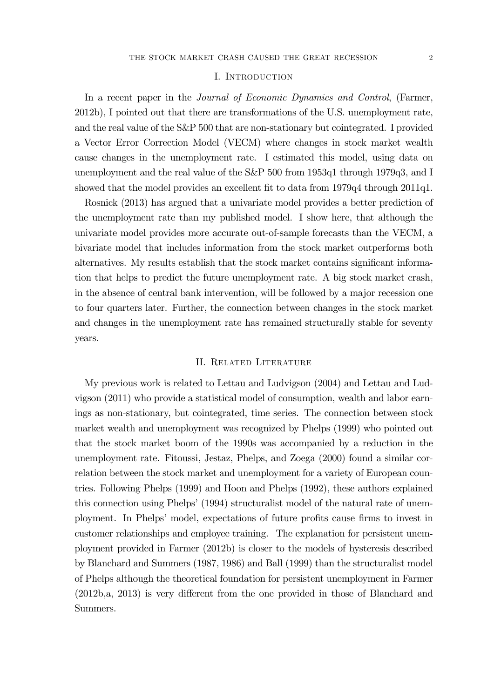#### I. Introduction

In a recent paper in the *Journal of Economic Dynamics and Control*, (Farmer, 2012b), I pointed out that there are transformations of the U.S. unemployment rate, and the real value of the S&P 500 that are non-stationary but cointegrated. I provided a Vector Error Correction Model (VECM) where changes in stock market wealth cause changes in the unemployment rate. I estimated this model, using data on unemployment and the real value of the S&P 500 from 1953q1 through 1979q3, and I showed that the model provides an excellent fit to data from 1979q4 through 2011q1.

Rosnick (2013) has argued that a univariate model provides a better prediction of the unemployment rate than my published model. I show here, that although the univariate model provides more accurate out-of-sample forecasts than the VECM, a bivariate model that includes information from the stock market outperforms both alternatives. My results establish that the stock market contains significant information that helps to predict the future unemployment rate. A big stock market crash, in the absence of central bank intervention, will be followed by a major recession one to four quarters later. Further, the connection between changes in the stock market and changes in the unemployment rate has remained structurally stable for seventy years.

### II. Related Literature

My previous work is related to Lettau and Ludvigson (2004) and Lettau and Ludvigson (2011) who provide a statistical model of consumption, wealth and labor earnings as non-stationary, but cointegrated, time series. The connection between stock market wealth and unemployment was recognized by Phelps (1999) who pointed out that the stock market boom of the 1990s was accompanied by a reduction in the unemployment rate. Fitoussi, Jestaz, Phelps, and Zoega (2000) found a similar correlation between the stock market and unemployment for a variety of European countries. Following Phelps (1999) and Hoon and Phelps (1992), these authors explained this connection using Phelps' (1994) structuralist model of the natural rate of unemployment. In Phelps' model, expectations of future profits cause firms to invest in customer relationships and employee training. The explanation for persistent unemployment provided in Farmer (2012b) is closer to the models of hysteresis described by Blanchard and Summers (1987, 1986) and Ball (1999) than the structuralist model of Phelps although the theoretical foundation for persistent unemployment in Farmer (2012b,a, 2013) is very different from the one provided in those of Blanchard and Summers.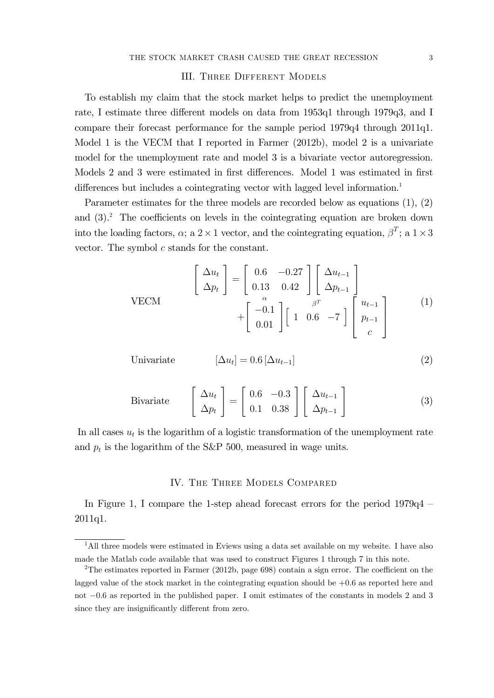### III. Three Different Models

To establish my claim that the stock market helps to predict the unemployment rate, I estimate three different models on data from 1953q1 through 1979q3, and I compare their forecast performance for the sample period 1979q4 through 2011q1. Model 1 is the VECM that I reported in Farmer (2012b), model 2 is a univariate model for the unemployment rate and model 3 is a bivariate vector autoregression. Models 2 and 3 were estimated in first differences. Model 1 was estimated in first differences but includes a cointegrating vector with lagged level information.<sup>1</sup>

Parameter estimates for the three models are recorded below as equations (1), (2) and  $(3)$ .<sup>2</sup> The coefficients on levels in the cointegrating equation are broken down into the loading factors,  $\alpha$ ; a 2 × 1 vector, and the cointegrating equation,  $\beta^T$ ; a 1 × 3 vector. The symbol  $c$  stands for the constant.

$$
\begin{bmatrix}\n\Delta u_t \\
\Delta p_t\n\end{bmatrix} = \begin{bmatrix}\n0.6 & -0.27 \\
0.13 & 0.42\n\end{bmatrix} \begin{bmatrix}\n\Delta u_{t-1} \\
\Delta p_{t-1} \\
\Delta p_{t-1}\n\end{bmatrix} + \begin{bmatrix}\n-0.1 \\
0.01\n\end{bmatrix} \begin{bmatrix}\n1 & 0.6 & -7\n\end{bmatrix} \begin{bmatrix}\nu_{t-1} \\
p_{t-1} \\
c\n\end{bmatrix}
$$
\n(1)

Univariate 
$$
[\Delta u_t] = 0.6 [\Delta u_{t-1}]
$$
 (2)

Bivariate 
$$
\begin{bmatrix} \Delta u_t \\ \Delta p_t \end{bmatrix} = \begin{bmatrix} 0.6 & -0.3 \\ 0.1 & 0.38 \end{bmatrix} \begin{bmatrix} \Delta u_{t-1} \\ \Delta p_{t-1} \end{bmatrix}
$$
 (3)

In all cases  $u_t$  is the logarithm of a logistic transformation of the unemployment rate and  $p_t$  is the logarithm of the S&P 500, measured in wage units.

### IV. The Three Models Compared

In Figure 1, I compare the 1-step ahead forecast errors for the period 1979q4 — 2011q1.

<sup>&</sup>lt;sup>1</sup>All three models were estimated in Eviews using a data set available on my website. I have also made the Matlab code available that was used to construct Figures 1 through 7 in this note.

<sup>2</sup>The estimates reported in Farmer (2012b, page 698) contain a sign error. The coefficient on the lagged value of the stock market in the cointegrating equation should be  $+0.6$  as reported here and not −06 as reported in the published paper. I omit estimates of the constants in models 2 and 3 since they are insignificantly different from zero.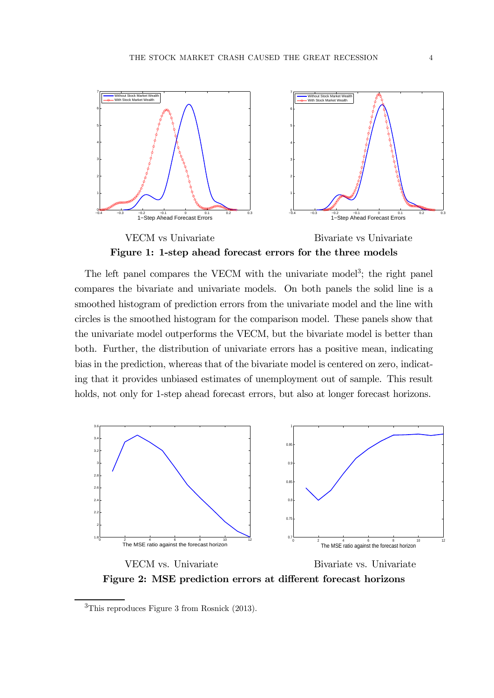

Figure 1: 1-step ahead forecast errors for the three models

The left panel compares the VECM with the univariate model<sup>3</sup>; the right panel compares the bivariate and univariate models. On both panels the solid line is a smoothed histogram of prediction errors from the univariate model and the line with circles is the smoothed histogram for the comparison model. These panels show that the univariate model outperforms the VECM, but the bivariate model is better than both. Further, the distribution of univariate errors has a positive mean, indicating bias in the prediction, whereas that of the bivariate model is centered on zero, indicating that it provides unbiased estimates of unemployment out of sample. This result holds, not only for 1-step ahead forecast errors, but also at longer forecast horizons.



Figure 2: MSE prediction errors at different forecast horizons

<sup>3</sup>This reproduces Figure 3 from Rosnick (2013).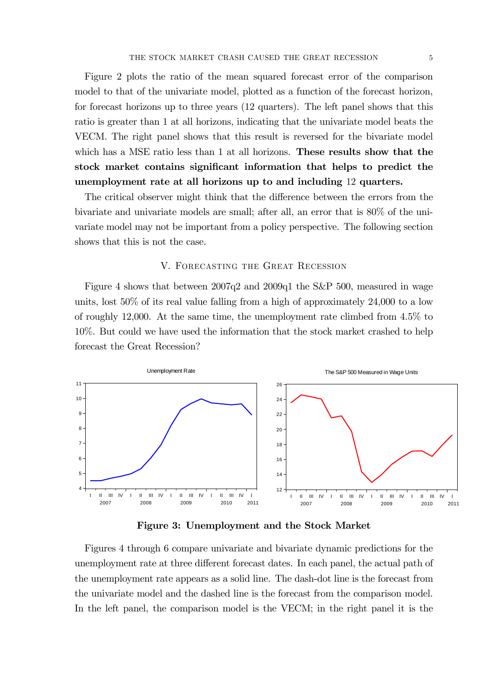Figure 2 plots the ratio of the mean squared forecast error of the comparison model to that of the univariate model, plotted as a function of the forecast horizon, for forecast horizons up to three years (12 quarters). The left panel shows that this ratio is greater than 1 at all horizons, indicating that the univariate model beats the VECM. The right panel shows that this result is reversed for the bivariate model which has a MSE ratio less than 1 at all horizons. These results show that the stock market contains significant information that helps to predict the unemployment rate at all horizons up to and including 12 quarters.

The critical observer might think that the difference between the errors from the bivariate and univariate models are small; after all, an error that is 80% of the univariate model may not be important from a policy perspective. The following section shows that this is not the case.

### V. Forecasting the Great Recession

Figure 4 shows that between 2007q2 and 2009q1 the S&P 500, measured in wage units, lost 50% of its real value falling from a high of approximately 24,000 to a low of roughly 12,000. At the same time, the unemployment rate climbed from 4.5% to 10%. But could we have used the information that the stock market crashed to help forecast the Great Recession?



Figure 3: Unemployment and the Stock Market

Figures 4 through 6 compare univariate and bivariate dynamic predictions for the unemployment rate at three different forecast dates. In each panel, the actual path of the unemployment rate appears as a solid line. The dash-dot line is the forecast from the univariate model and the dashed line is the forecast from the comparison model. In the left panel, the comparison model is the VECM; in the right panel it is the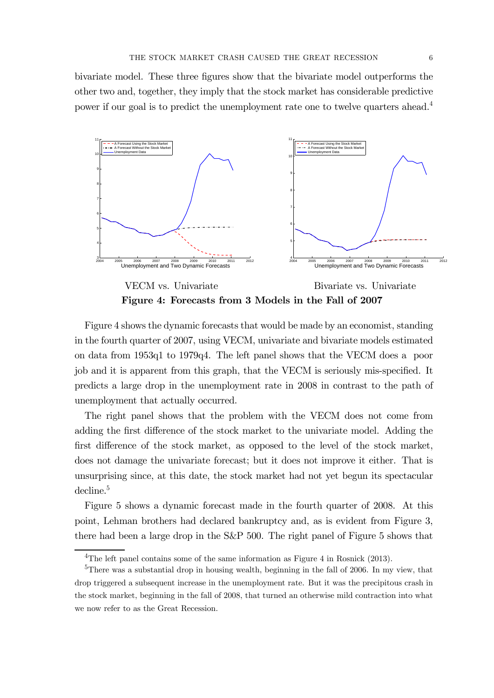bivariate model. These three figures show that the bivariate model outperforms the other two and, together, they imply that the stock market has considerable predictive power if our goal is to predict the unemployment rate one to twelve quarters ahead.4



Figure 4: Forecasts from 3 Models in the Fall of 2007

Figure 4 shows the dynamic forecasts that would be made by an economist, standing in the fourth quarter of 2007, using VECM, univariate and bivariate models estimated on data from 1953q1 to 1979q4. The left panel shows that the VECM does a poor job and it is apparent from this graph, that the VECM is seriously mis-specified. It predicts a large drop in the unemployment rate in 2008 in contrast to the path of unemployment that actually occurred.

The right panel shows that the problem with the VECM does not come from adding the first difference of the stock market to the univariate model. Adding the first difference of the stock market, as opposed to the level of the stock market, does not damage the univariate forecast; but it does not improve it either. That is unsurprising since, at this date, the stock market had not yet begun its spectacular decline.<sup>5</sup>

Figure 5 shows a dynamic forecast made in the fourth quarter of 2008. At this point, Lehman brothers had declared bankruptcy and, as is evident from Figure 3, there had been a large drop in the S&P 500. The right panel of Figure 5 shows that

<sup>4</sup>The left panel contains some of the same information as Figure 4 in Rosnick (2013).

<sup>5</sup>There was a substantial drop in housing wealth, beginning in the fall of 2006. In my view, that drop triggered a subsequent increase in the unemployment rate. But it was the precipitous crash in the stock market, beginning in the fall of 2008, that turned an otherwise mild contraction into what we now refer to as the Great Recession.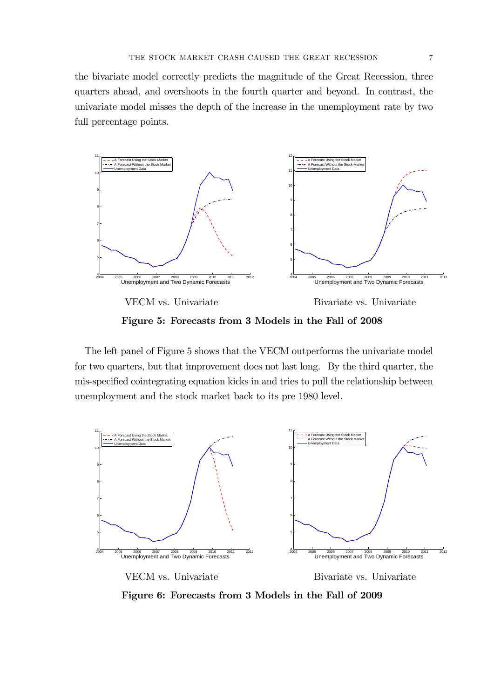the bivariate model correctly predicts the magnitude of the Great Recession, three quarters ahead, and overshoots in the fourth quarter and beyond. In contrast, the univariate model misses the depth of the increase in the unemployment rate by two full percentage points.



Figure 5: Forecasts from 3 Models in the Fall of 2008

The left panel of Figure 5 shows that the VECM outperforms the univariate model for two quarters, but that improvement does not last long. By the third quarter, the mis-specified cointegrating equation kicks in and tries to pull the relationship between unemployment and the stock market back to its pre 1980 level.



Figure 6: Forecasts from 3 Models in the Fall of 2009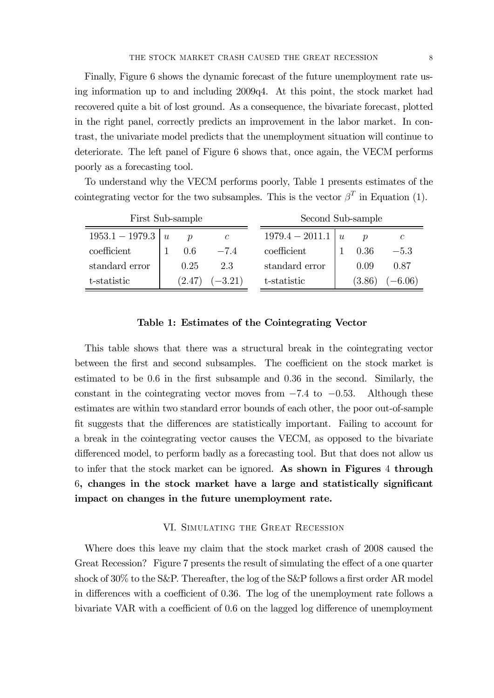Finally, Figure 6 shows the dynamic forecast of the future unemployment rate using information up to and including 2009q4. At this point, the stock market had recovered quite a bit of lost ground. As a consequence, the bivariate forecast, plotted in the right panel, correctly predicts an improvement in the labor market. In contrast, the univariate model predicts that the unemployment situation will continue to deteriorate. The left panel of Figure 6 shows that, once again, the VECM performs poorly as a forecasting tool.

To understand why the VECM performs poorly, Table 1 presents estimates of the cointegrating vector for the two subsamples. This is the vector  $\beta^T$  in Equation (1).

| First Sub-sample  |   |                     |               | Second Sub-sample |   |        |           |
|-------------------|---|---------------------|---------------|-------------------|---|--------|-----------|
| $1953.1 - 1979.3$ | u | $\boldsymbol{\eta}$ | $\mathcal{C}$ | $1979.4 - 2011.1$ | u |        |           |
| coefficient       |   | 0.6                 | $-74$         | coefficient       |   | 0.36   | $-5.3$    |
| standard error    |   | 0.25                | 2.3           | standard error    |   | 0.09   | 0.87      |
| t-statistic       |   | (2.47)              | $(-3.21)$     | t-statistic       |   | (3.86) | $(-6.06)$ |

## Table 1: Estimates of the Cointegrating Vector

This table shows that there was a structural break in the cointegrating vector between the first and second subsamples. The coefficient on the stock market is estimated to be 06 in the first subsample and 036 in the second. Similarly, the constant in the cointegrating vector moves from  $-7.4$  to  $-0.53$ . Although these estimates are within two standard error bounds of each other, the poor out-of-sample fit suggests that the differences are statistically important. Failing to account for a break in the cointegrating vector causes the VECM, as opposed to the bivariate differenced model, to perform badly as a forecasting tool. But that does not allow us to infer that the stock market can be ignored. As shown in Figures 4 through 6, changes in the stock market have a large and statistically significant impact on changes in the future unemployment rate.

### VI. Simulating the Great Recession

Where does this leave my claim that the stock market crash of 2008 caused the Great Recession? Figure 7 presents the result of simulating the effect of a one quarter shock of 30% to the S&P. Thereafter, the log of the S&P follows a first order AR model in differences with a coefficient of 0.36. The log of the unemployment rate follows a bivariate VAR with a coefficient of 0.6 on the lagged log difference of unemployment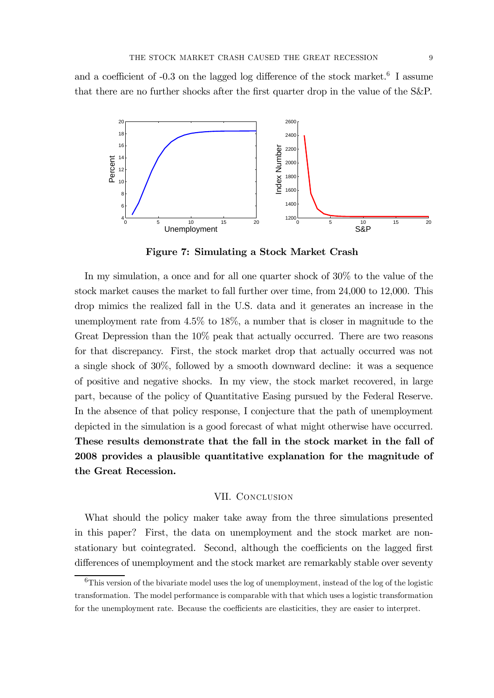and a coefficient of  $-0.3$  on the lagged log difference of the stock market.<sup>6</sup> I assume that there are no further shocks after the first quarter drop in the value of the S&P.



Figure 7: Simulating a Stock Market Crash

In my simulation, a once and for all one quarter shock of 30% to the value of the stock market causes the market to fall further over time, from 24,000 to 12,000. This drop mimics the realized fall in the U.S. data and it generates an increase in the unemployment rate from 4.5% to 18%, a number that is closer in magnitude to the Great Depression than the 10% peak that actually occurred. There are two reasons for that discrepancy. First, the stock market drop that actually occurred was not a single shock of 30%, followed by a smooth downward decline: it was a sequence of positive and negative shocks. In my view, the stock market recovered, in large part, because of the policy of Quantitative Easing pursued by the Federal Reserve. In the absence of that policy response, I conjecture that the path of unemployment depicted in the simulation is a good forecast of what might otherwise have occurred. These results demonstrate that the fall in the stock market in the fall of 2008 provides a plausible quantitative explanation for the magnitude of the Great Recession.

### VII. CONCLUSION

What should the policy maker take away from the three simulations presented in this paper? First, the data on unemployment and the stock market are nonstationary but cointegrated. Second, although the coefficients on the lagged first differences of unemployment and the stock market are remarkably stable over seventy

<sup>&</sup>lt;sup>6</sup>This version of the bivariate model uses the log of unemployment, instead of the log of the logistic transformation. The model performance is comparable with that which uses a logistic transformation for the unemployment rate. Because the coefficients are elasticities, they are easier to interpret.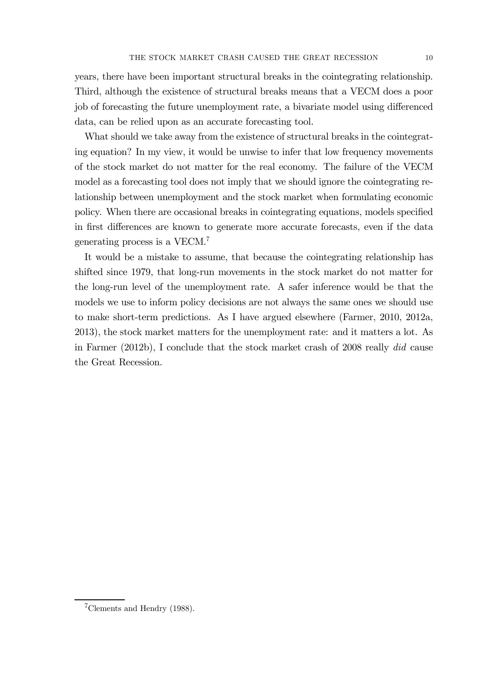years, there have been important structural breaks in the cointegrating relationship. Third, although the existence of structural breaks means that a VECM does a poor job of forecasting the future unemployment rate, a bivariate model using differenced data, can be relied upon as an accurate forecasting tool.

What should we take away from the existence of structural breaks in the cointegrating equation? In my view, it would be unwise to infer that low frequency movements of the stock market do not matter for the real economy. The failure of the VECM model as a forecasting tool does not imply that we should ignore the cointegrating relationship between unemployment and the stock market when formulating economic policy. When there are occasional breaks in cointegrating equations, models specified in first differences are known to generate more accurate forecasts, even if the data generating process is a VECM.7

It would be a mistake to assume, that because the cointegrating relationship has shifted since 1979, that long-run movements in the stock market do not matter for the long-run level of the unemployment rate. A safer inference would be that the models we use to inform policy decisions are not always the same ones we should use to make short-term predictions. As I have argued elsewhere (Farmer, 2010, 2012a, 2013), the stock market matters for the unemployment rate: and it matters a lot. As in Farmer (2012b), I conclude that the stock market crash of 2008 really did cause the Great Recession.

<sup>7</sup>Clements and Hendry (1988).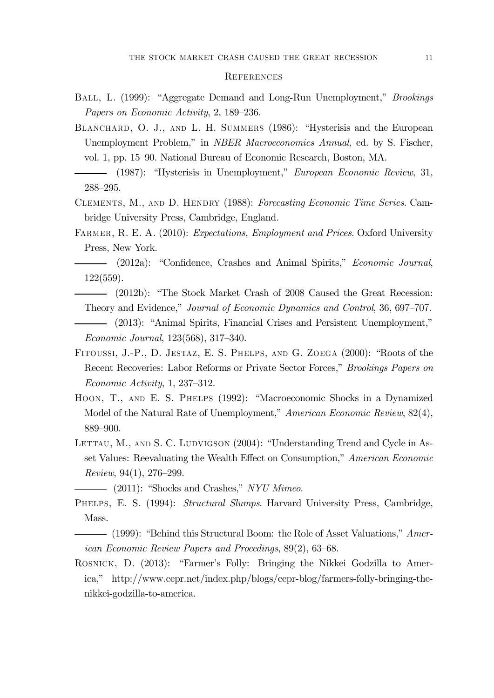#### **REFERENCES**

- Ball, L. (1999): "Aggregate Demand and Long-Run Unemployment," Brookings Papers on Economic Activity, 2, 189—236.
- BLANCHARD, O. J., AND L. H. SUMMERS (1986): "Hysterisis and the European Unemployment Problem," in NBER Macroeconomics Annual, ed. by S. Fischer, vol. 1, pp. 15—90. National Bureau of Economic Research, Boston, MA.
- (1987): "Hysterisis in Unemployment," European Economic Review, 31, 288—295.
- Clements, M., and D. Hendry (1988): Forecasting Economic Time Series. Cambridge University Press, Cambridge, England.
- FARMER, R. E. A. (2010): *Expectations, Employment and Prices*. Oxford University Press, New York.
- (2012a): "Confidence, Crashes and Animal Spirits," Economic Journal, 122(559).
- (2012b): "The Stock Market Crash of 2008 Caused the Great Recession: Theory and Evidence," Journal of Economic Dynamics and Control, 36, 697—707.
- (2013): "Animal Spirits, Financial Crises and Persistent Unemployment," Economic Journal, 123(568), 317—340.
- Fitoussi, J.-P., D. Jestaz, E. S. Phelps, and G. Zoega (2000): "Roots of the Recent Recoveries: Labor Reforms or Private Sector Forces," Brookings Papers on Economic Activity, 1, 237—312.
- Hoon, T., and E. S. Phelps (1992): "Macroeconomic Shocks in a Dynamized Model of the Natural Rate of Unemployment," American Economic Review, 82(4), 889—900.
- LETTAU, M., AND S. C. LUDVIGSON (2004): "Understanding Trend and Cycle in Asset Values: Reevaluating the Wealth Effect on Consumption," American Economic Review, 94(1), 276—299.
	- (2011): "Shocks and Crashes," NYU Mimeo.
- PHELPS, E. S. (1994): *Structural Slumps*. Harvard University Press, Cambridge, Mass.
- (1999): "Behind this Structural Boom: the Role of Asset Valuations," American Economic Review Papers and Procedings, 89(2), 63—68.
- Rosnick, D. (2013): "Farmer's Folly: Bringing the Nikkei Godzilla to America," http://www.cepr.net/index.php/blogs/cepr-blog/farmers-folly-bringing-thenikkei-godzilla-to-america.